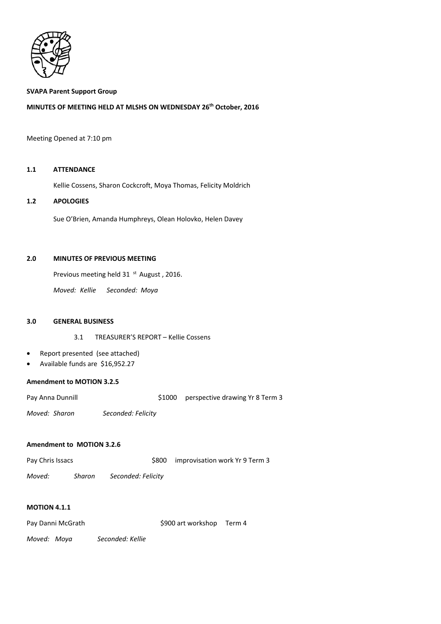

### **SVAPA Parent Support Group**

# **MINUTES OF MEETING HELD AT MLSHS ON WEDNESDAY 26th October, 2016**

#### Meeting Opened at 7:10 pm

#### **1.1 ATTENDANCE**

Kellie Cossens, Sharon Cockcroft, Moya Thomas, Felicity Moldrich

# **1.2 APOLOGIES**

Sue O'Brien, Amanda Humphreys, Olean Holovko, Helen Davey

# **2.0 MINUTES OF PREVIOUS MEETING**

Previous meeting held 31 <sup>st</sup> August, 2016.

*Moved: Kellie Seconded: Moya* 

## **3.0 GENERAL BUSINESS**

3.1 TREASURER'S REPORT – Kellie Cossens

- Report presented (see attached)
- Available funds are \$16,952.27

#### **Amendment to MOTION 3.2.5**

Pay Anna Dunnill **Example 2018** S1000 perspective drawing Yr 8 Term 3

*Moved: Sharon Seconded: Felicity* 

## **Amendment to MOTION 3.2.6**

| Pay Chris Issacs | \$800 improvisation work Yr 9 Term 3 |
|------------------|--------------------------------------|
|                  |                                      |

*Moved: Sharon Seconded: Felicity* 

## **MOTION 4.1.1**

| Pay Danni McGrath | \$900 art workshop Term 4 |  |
|-------------------|---------------------------|--|
|                   |                           |  |

*Moved: Moya Seconded: Kellie*